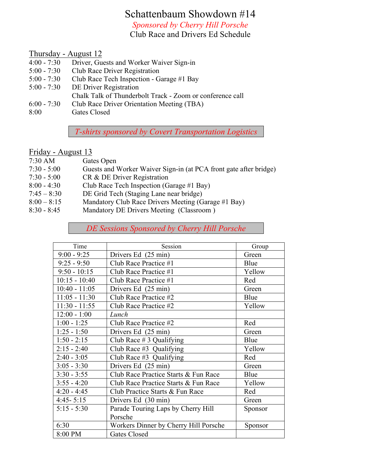### Schattenbaum Showdown #14

*Sponsored by Cherry Hill Porsche*

Club Race and Drivers Ed Schedule

### Thursday - August 12

- 4:00 7:30 Driver, Guests and Worker Waiver Sign-in
- 5:00 7:30 Club Race Driver Registration
- 5:00 7:30 Club Race Tech Inspection Garage #1 Bay
- 5:00 7:30 DE Driver Registration
- Chalk Talk of Thunderbolt Track Zoom or conference call
- 6:00 7:30 Club Race Driver Orientation Meeting (TBA)
- 8:00 Gates Closed

*T-shirts sponsored by Covert Transportation Logistics*

### Friday - August 13

- 7:30 AM Gates Open
- 7:30 5:00 Guests and Worker Waiver Sign-in (at PCA front gate after bridge)
- 7:30 5:00 CR & DE Driver Registration
- 8:00 4:30 Club Race Tech Inspection (Garage #1 Bay)
- 7:45 8:30 DE Grid Tech (Staging Lane near bridge)
- 8:00 8:15 Mandatory Club Race Drivers Meeting (Garage #1 Bay)
- 8:30 8:45 Mandatory DE Drivers Meeting (Classroom )

*DE Sessions Sponsored by Cherry Hill Porsche*

| Time            | Session                               | Group   |
|-----------------|---------------------------------------|---------|
| $9:00 - 9:25$   | Drivers Ed (25 min)                   | Green   |
| $9:25 - 9:50$   | Club Race Practice #1                 | Blue    |
| $9:50 - 10:15$  | Club Race Practice $#1$               | Yellow  |
| $10:15 - 10:40$ | Club Race Practice #1                 | Red     |
| $10:40 - 11:05$ | Drivers Ed (25 min)                   | Green   |
| $11:05 - 11:30$ | Club Race Practice #2                 | Blue    |
| $11:30 - 11:55$ | Club Race Practice #2                 | Yellow  |
| $12:00 - 1:00$  | Lunch                                 |         |
| $1:00 - 1:25$   | Club Race Practice #2                 | Red     |
| $1:25 - 1:50$   | Drivers Ed (25 min)                   | Green   |
| $1:50 - 2:15$   | Club Race $# 3$ Qualifying            | Blue    |
| $2:15 - 2:40$   | Club Race $#3$ Qualifying             | Yellow  |
| $2:40 - 3:05$   | Club Race $#3$ Qualifying             | Red     |
| $3:05 - 3:30$   | Drivers Ed (25 min)                   | Green   |
| $3:30 - 3:55$   | Club Race Practice Starts & Fun Race  | Blue    |
| $3:55 - 4:20$   | Club Race Practice Starts & Fun Race  | Yellow  |
| $4:20 - 4:45$   | Club Practice Starts & Fun Race       | Red     |
| $4:45 - 5:15$   | Drivers Ed (30 min)                   | Green   |
| $5:15 - 5:30$   | Parade Touring Laps by Cherry Hill    | Sponsor |
|                 | Porsche                               |         |
| 6:30            | Workers Dinner by Cherry Hill Porsche | Sponsor |
| 8:00 PM         | <b>Gates Closed</b>                   |         |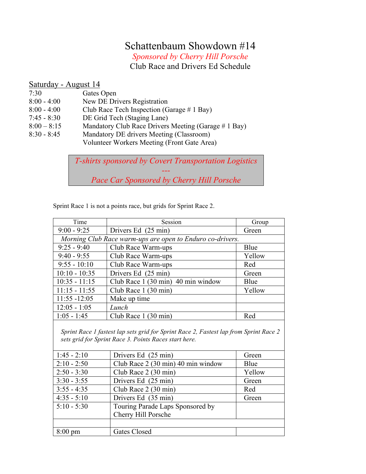## Schattenbaum Showdown #14

*Sponsored by Cherry Hill Porsche* Club Race and Drivers Ed Schedule

#### Saturday - August 14

- 7:30 Gates Open
- 8:00 4:00 New DE Drivers Registration
- 8:00 4:00 Club Race Tech Inspection (Garage # 1 Bay)
- 7:45 8:30 DE Grid Tech (Staging Lane)
- 8:00 8:15 Mandatory Club Race Drivers Meeting (Garage # 1 Bay)
- 8:30 8:45 Mandatory DE drivers Meeting (Classroom) Volunteer Workers Meeting (Front Gate Area)

*T-shirts sponsored by Covert Transportation Logistics ---*

*Pace Car Sponsored by Cherry Hill Porsche*

| Time                                                                                                                                           | Session                                             | Group  |  |  |
|------------------------------------------------------------------------------------------------------------------------------------------------|-----------------------------------------------------|--------|--|--|
| $9:00 - 9:25$                                                                                                                                  | Drivers Ed (25 min)                                 | Green  |  |  |
| Morning Club Race warm-ups are open to Enduro co-drivers.                                                                                      |                                                     |        |  |  |
| $9:25 - 9:40$                                                                                                                                  | Club Race Warm-ups                                  | Blue   |  |  |
| $9:40 - 9:55$                                                                                                                                  | Club Race Warm-ups                                  | Yellow |  |  |
| $9:55 - 10:10$                                                                                                                                 | Club Race Warm-ups                                  | Red    |  |  |
| $10:10 - 10:35$                                                                                                                                | Drivers Ed (25 min)                                 | Green  |  |  |
| $10:35 - 11:15$                                                                                                                                | Club Race 1 (30 min) 40 min window                  | Blue   |  |  |
| $11:15 - 11:55$                                                                                                                                | Club Race $1(30 \text{ min})$                       | Yellow |  |  |
| $11:55 - 12:05$                                                                                                                                | Make up time                                        |        |  |  |
| $12:05 - 1:05$                                                                                                                                 | Lunch                                               |        |  |  |
| $1:05 - 1:45$                                                                                                                                  | Club Race 1 (30 min)                                | Red    |  |  |
| Sprint Race 1 fastest lap sets grid for Sprint Race 2, Fastest lap from Sprint Race 2<br>sets grid for Sprint Race 3. Points Races start here. |                                                     |        |  |  |
| $1:45 - 2:10$                                                                                                                                  | Drivers Ed (25 min)                                 | Green  |  |  |
| $2.10 \pm 0.50$                                                                                                                                | $(1, 1, D_1, \ldots, 2, (20, \ldots), 10, \ldots),$ | - ב-1  |  |  |

Sprint Race 1 is not a points race, but grids for Sprint Race 2.

| $1:45 - 2:10$     | Drivers Ed (25 min)                | Green  |
|-------------------|------------------------------------|--------|
| $2:10 - 2:50$     | Club Race 2 (30 min) 40 min window | Blue   |
| $2:50 - 3:30$     | Club Race 2 (30 min)               | Yellow |
| $3:30 - 3:55$     | Drivers Ed (25 min)                | Green  |
| $3:55 - 4:35$     | Club Race 2 (30 min)               | Red    |
| $4:35 - 5:10$     | Drivers Ed (35 min)                | Green  |
| $5:10 - 5:30$     | Touring Parade Laps Sponsored by   |        |
|                   | Cherry Hill Porsche                |        |
|                   |                                    |        |
| $8:00 \text{ pm}$ | Gates Closed                       |        |